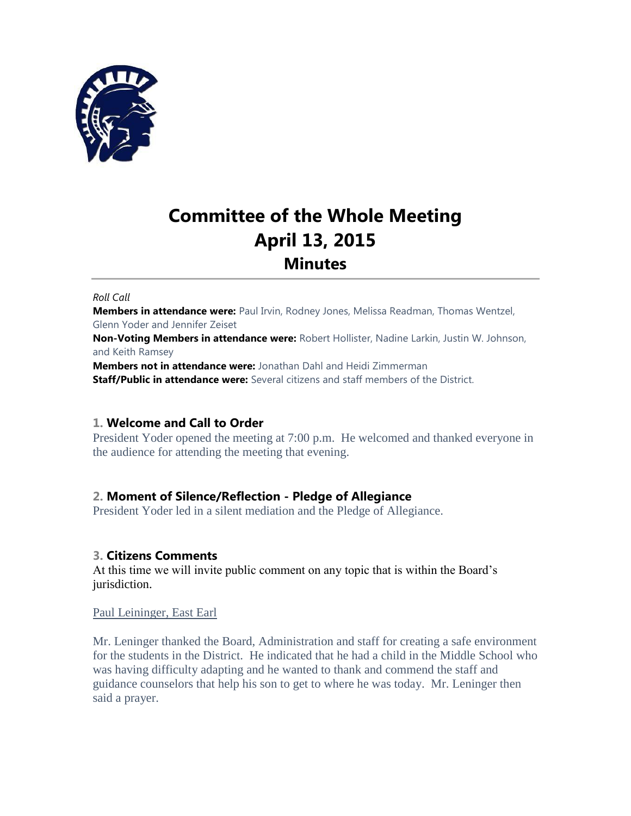

# **Committee of the Whole Meeting April 13, 2015 Minutes**

#### *Roll Call*

**Members in attendance were:** Paul Irvin, Rodney Jones, Melissa Readman, Thomas Wentzel, Glenn Yoder and Jennifer Zeiset

**Non-Voting Members in attendance were:** Robert Hollister, Nadine Larkin, Justin W. Johnson, and Keith Ramsey

**Members not in attendance were:** Jonathan Dahl and Heidi Zimmerman **Staff/Public in attendance were:** Several citizens and staff members of the District.

## **1. Welcome and Call to Order**

President Yoder opened the meeting at 7:00 p.m. He welcomed and thanked everyone in the audience for attending the meeting that evening.

## **2. Moment of Silence/Reflection - Pledge of Allegiance**

President Yoder led in a silent mediation and the Pledge of Allegiance.

## **3. Citizens Comments**

At this time we will invite public comment on any topic that is within the Board's jurisdiction.

Paul Leininger, East Earl

Mr. Leninger thanked the Board, Administration and staff for creating a safe environment for the students in the District. He indicated that he had a child in the Middle School who was having difficulty adapting and he wanted to thank and commend the staff and guidance counselors that help his son to get to where he was today. Mr. Leninger then said a prayer.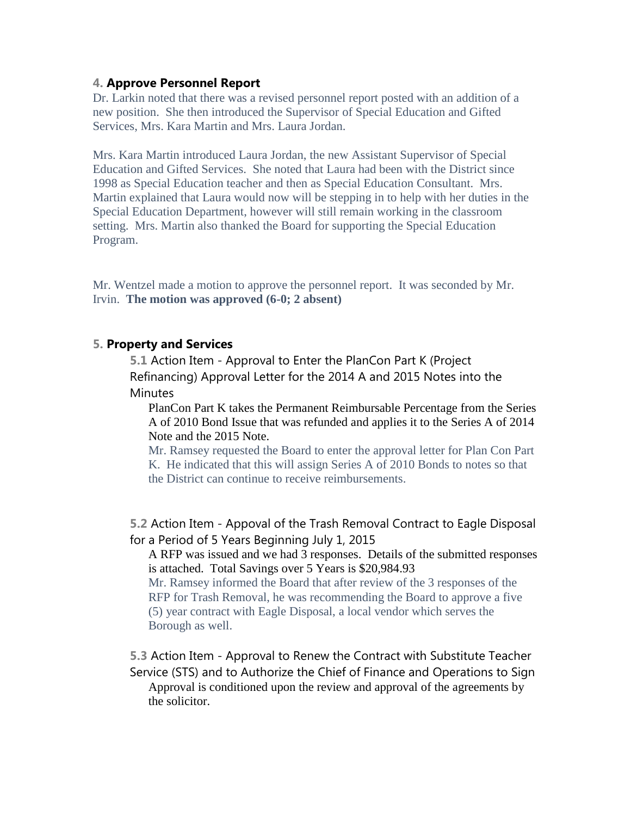# **4. Approve Personnel Report**

Dr. Larkin noted that there was a revised personnel report posted with an addition of a new position. She then introduced the Supervisor of Special Education and Gifted Services, Mrs. Kara Martin and Mrs. Laura Jordan.

Mrs. Kara Martin introduced Laura Jordan, the new Assistant Supervisor of Special Education and Gifted Services. She noted that Laura had been with the District since 1998 as Special Education teacher and then as Special Education Consultant. Mrs. Martin explained that Laura would now will be stepping in to help with her duties in the Special Education Department, however will still remain working in the classroom setting. Mrs. Martin also thanked the Board for supporting the Special Education Program.

Mr. Wentzel made a motion to approve the personnel report. It was seconded by Mr. Irvin. **The motion was approved (6-0; 2 absent)**

# **5. Property and Services**

**5.1** Action Item - Approval to Enter the PlanCon Part K (Project Refinancing) Approval Letter for the 2014 A and 2015 Notes into the **Minutes** 

PlanCon Part K takes the Permanent Reimbursable Percentage from the Series A of 2010 Bond Issue that was refunded and applies it to the Series A of 2014 Note and the 2015 Note.

Mr. Ramsey requested the Board to enter the approval letter for Plan Con Part K. He indicated that this will assign Series A of 2010 Bonds to notes so that the District can continue to receive reimbursements.

**5.2** Action Item - Appoval of the Trash Removal Contract to Eagle Disposal for a Period of 5 Years Beginning July 1, 2015

A RFP was issued and we had 3 responses. Details of the submitted responses is attached. Total Savings over 5 Years is \$20,984.93

Mr. Ramsey informed the Board that after review of the 3 responses of the RFP for Trash Removal, he was recommending the Board to approve a five (5) year contract with Eagle Disposal, a local vendor which serves the Borough as well.

**5.3** Action Item - Approval to Renew the Contract with Substitute Teacher Service (STS) and to Authorize the Chief of Finance and Operations to Sign Approval is conditioned upon the review and approval of the agreements by the solicitor.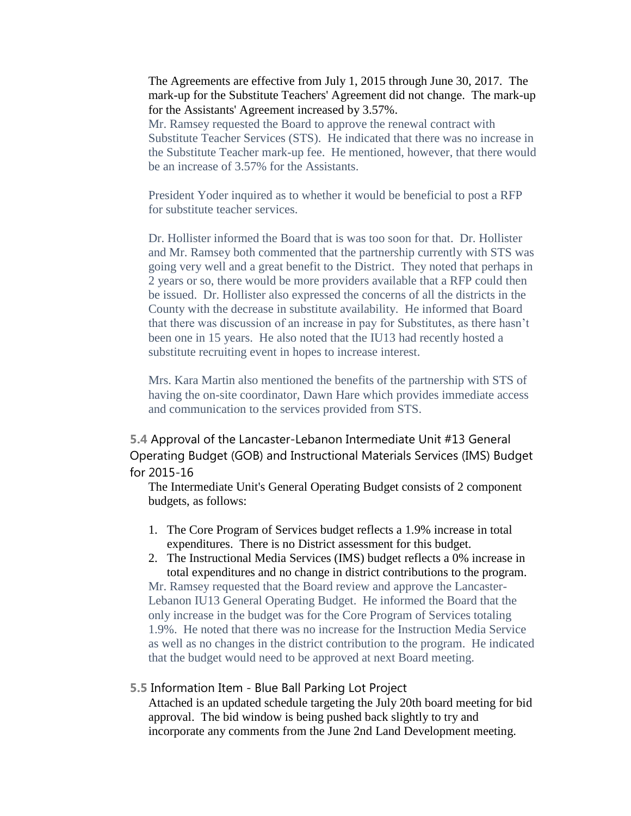The Agreements are effective from July 1, 2015 through June 30, 2017. The mark-up for the Substitute Teachers' Agreement did not change. The mark-up for the Assistants' Agreement increased by 3.57%.

Mr. Ramsey requested the Board to approve the renewal contract with Substitute Teacher Services (STS). He indicated that there was no increase in the Substitute Teacher mark-up fee. He mentioned, however, that there would be an increase of 3.57% for the Assistants.

President Yoder inquired as to whether it would be beneficial to post a RFP for substitute teacher services.

Dr. Hollister informed the Board that is was too soon for that. Dr. Hollister and Mr. Ramsey both commented that the partnership currently with STS was going very well and a great benefit to the District. They noted that perhaps in 2 years or so, there would be more providers available that a RFP could then be issued. Dr. Hollister also expressed the concerns of all the districts in the County with the decrease in substitute availability. He informed that Board that there was discussion of an increase in pay for Substitutes, as there hasn't been one in 15 years. He also noted that the IU13 had recently hosted a substitute recruiting event in hopes to increase interest.

Mrs. Kara Martin also mentioned the benefits of the partnership with STS of having the on-site coordinator, Dawn Hare which provides immediate access and communication to the services provided from STS.

**5.4** Approval of the Lancaster-Lebanon Intermediate Unit #13 General Operating Budget (GOB) and Instructional Materials Services (IMS) Budget for 2015-16

The Intermediate Unit's General Operating Budget consists of 2 component budgets, as follows:

1. The Core Program of Services budget reflects a 1.9% increase in total expenditures. There is no District assessment for this budget.

2. The Instructional Media Services (IMS) budget reflects a 0% increase in total expenditures and no change in district contributions to the program. Mr. Ramsey requested that the Board review and approve the Lancaster-Lebanon IU13 General Operating Budget. He informed the Board that the only increase in the budget was for the Core Program of Services totaling 1.9%. He noted that there was no increase for the Instruction Media Service as well as no changes in the district contribution to the program. He indicated that the budget would need to be approved at next Board meeting.

#### **5.5** Information Item - Blue Ball Parking Lot Project

Attached is an updated schedule targeting the July 20th board meeting for bid approval. The bid window is being pushed back slightly to try and incorporate any comments from the June 2nd Land Development meeting.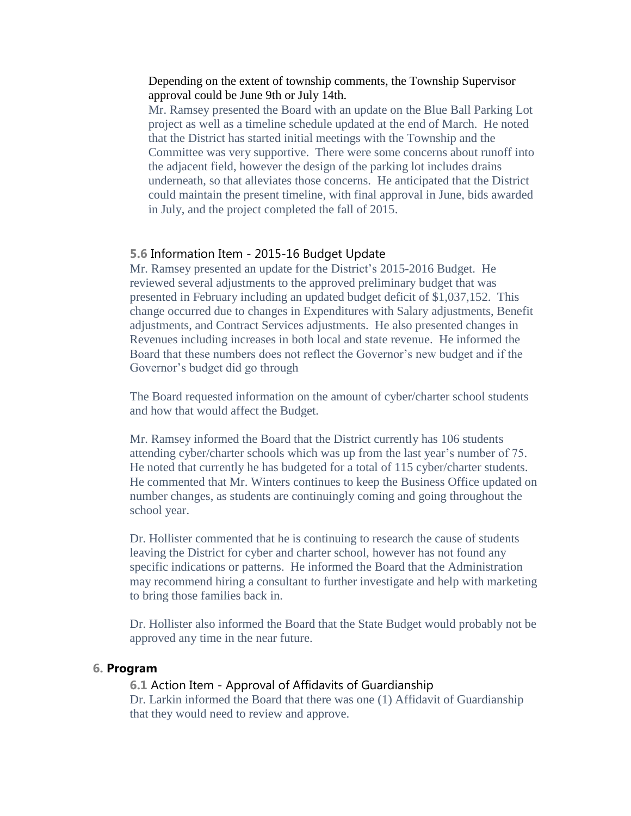## Depending on the extent of township comments, the Township Supervisor approval could be June 9th or July 14th.

Mr. Ramsey presented the Board with an update on the Blue Ball Parking Lot project as well as a timeline schedule updated at the end of March. He noted that the District has started initial meetings with the Township and the Committee was very supportive. There were some concerns about runoff into the adjacent field, however the design of the parking lot includes drains underneath, so that alleviates those concerns. He anticipated that the District could maintain the present timeline, with final approval in June, bids awarded in July, and the project completed the fall of 2015.

## **5.6** Information Item - 2015-16 Budget Update

Mr. Ramsey presented an update for the District's 2015-2016 Budget. He reviewed several adjustments to the approved preliminary budget that was presented in February including an updated budget deficit of \$1,037,152. This change occurred due to changes in Expenditures with Salary adjustments, Benefit adjustments, and Contract Services adjustments. He also presented changes in Revenues including increases in both local and state revenue. He informed the Board that these numbers does not reflect the Governor's new budget and if the Governor's budget did go through

The Board requested information on the amount of cyber/charter school students and how that would affect the Budget.

Mr. Ramsey informed the Board that the District currently has 106 students attending cyber/charter schools which was up from the last year's number of 75. He noted that currently he has budgeted for a total of 115 cyber/charter students. He commented that Mr. Winters continues to keep the Business Office updated on number changes, as students are continuingly coming and going throughout the school year.

Dr. Hollister commented that he is continuing to research the cause of students leaving the District for cyber and charter school, however has not found any specific indications or patterns. He informed the Board that the Administration may recommend hiring a consultant to further investigate and help with marketing to bring those families back in.

Dr. Hollister also informed the Board that the State Budget would probably not be approved any time in the near future.

#### **6. Program**

#### **6.1** Action Item - Approval of Affidavits of Guardianship

Dr. Larkin informed the Board that there was one (1) Affidavit of Guardianship that they would need to review and approve.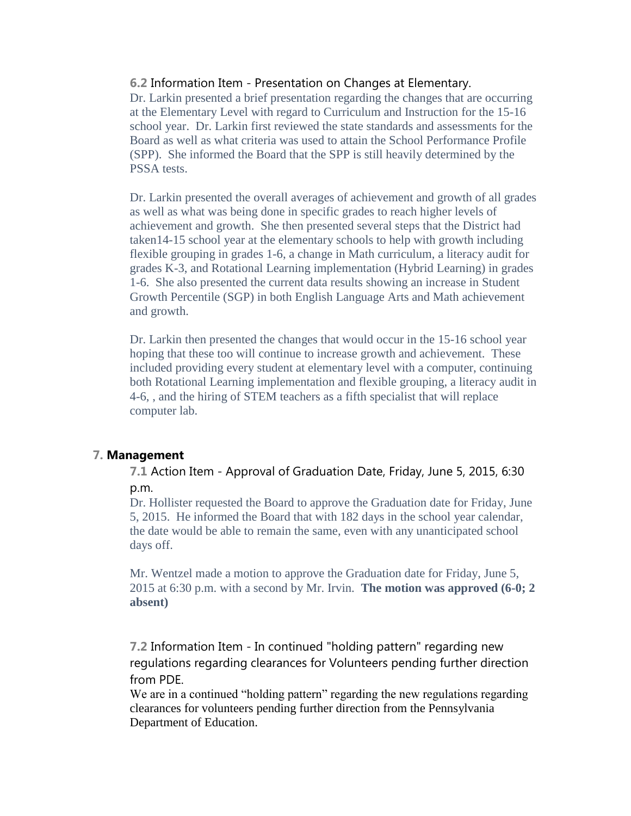## **6.2** Information Item - Presentation on Changes at Elementary.

Dr. Larkin presented a brief presentation regarding the changes that are occurring at the Elementary Level with regard to Curriculum and Instruction for the 15-16 school year. Dr. Larkin first reviewed the state standards and assessments for the Board as well as what criteria was used to attain the School Performance Profile (SPP). She informed the Board that the SPP is still heavily determined by the PSSA tests.

Dr. Larkin presented the overall averages of achievement and growth of all grades as well as what was being done in specific grades to reach higher levels of achievement and growth. She then presented several steps that the District had taken14-15 school year at the elementary schools to help with growth including flexible grouping in grades 1-6, a change in Math curriculum, a literacy audit for grades K-3, and Rotational Learning implementation (Hybrid Learning) in grades 1-6. She also presented the current data results showing an increase in Student Growth Percentile (SGP) in both English Language Arts and Math achievement and growth.

Dr. Larkin then presented the changes that would occur in the 15-16 school year hoping that these too will continue to increase growth and achievement. These included providing every student at elementary level with a computer, continuing both Rotational Learning implementation and flexible grouping, a literacy audit in 4-6, , and the hiring of STEM teachers as a fifth specialist that will replace computer lab.

## **7. Management**

**7.1** Action Item - Approval of Graduation Date, Friday, June 5, 2015, 6:30 p.m.

Dr. Hollister requested the Board to approve the Graduation date for Friday, June 5, 2015. He informed the Board that with 182 days in the school year calendar, the date would be able to remain the same, even with any unanticipated school days off.

Mr. Wentzel made a motion to approve the Graduation date for Friday, June 5, 2015 at 6:30 p.m. with a second by Mr. Irvin. **The motion was approved (6-0; 2 absent)**

**7.2** Information Item - In continued "holding pattern" regarding new regulations regarding clearances for Volunteers pending further direction from PDE.

We are in a continued "holding pattern" regarding the new regulations regarding clearances for volunteers pending further direction from the Pennsylvania Department of Education.